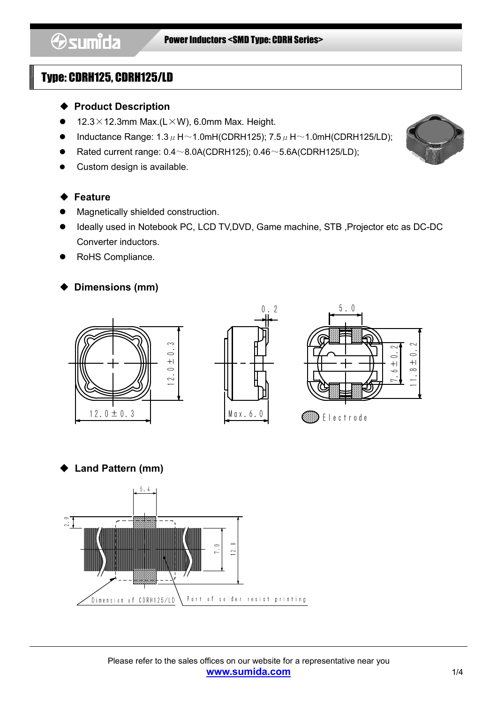- ◆ Product Description
- $12.3 \times 12.3$ mm Max.(L $\times$ W), 6.0mm Max. Height.
- Inductance Range:  $1.3 \mu$  H $\sim$ 1.0mH(CDRH125); 7.5  $\mu$  H $\sim$ 1.0mH(CDRH125/LD);
- Rated current range:  $0.4 \sim 8.0$ A(CDRH125);  $0.46 \sim 5.6$ A(CDRH125/LD);
- Custom design is available.

#### ◆ Feature

- Magnetically shielded construction.
- Ideally used in Notebook PC, LCD TV,DVD, Game machine, STB ,Projector etc as DC-DC Converter inductors.
- RoHS Compliance.

### ◆ Dimensions (mm)



**Land Pattern (mm)** 



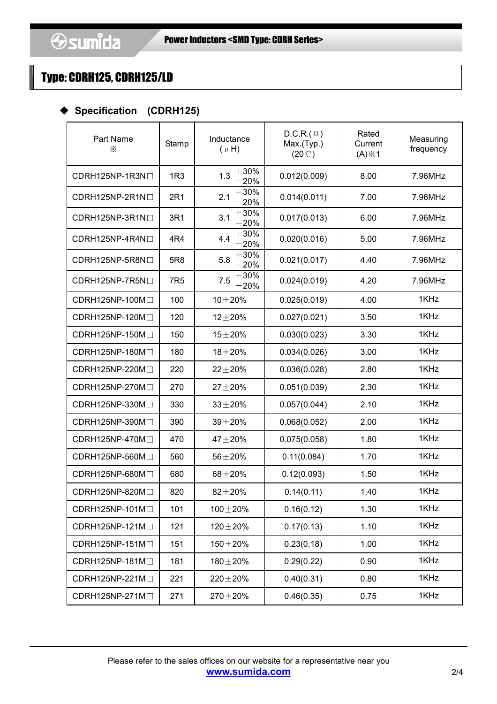#### Specification (CDRH125)

| Part Name<br>⋇  | Stamp      | Inductance<br>$(\mu H)$ | $D.C.R.(\Omega)$<br>Max.(Typ.)<br>$(20^{\circ}C)$ | Rated<br>Current<br>$(A)$ $\times$ 1 | Measuring<br>frequency |
|-----------------|------------|-------------------------|---------------------------------------------------|--------------------------------------|------------------------|
| CDRH125NP-1R3N□ | 1R3        | $+30%$<br>1.3<br>$-20%$ | 0.012(0.009)                                      | 8.00                                 | 7.96MHz                |
| CDRH125NP-2R1NO | 2R1        | $+30%$<br>2.1<br>$-20%$ | 0.014(0.011)                                      | 7.00                                 | 7.96MHz                |
| CDRH125NP-3R1NO | 3R1        | $+30%$<br>3.1<br>$-20%$ | 0.017(0.013)                                      | 6.00                                 | 7.96MHz                |
| CDRH125NP-4R4NO | 4R4        | $+30%$<br>4.4<br>$-20%$ | 0.020(0.016)                                      | 5.00                                 | 7.96MHz                |
| CDRH125NP-5R8N  | 5R8        | $+30%$<br>5.8<br>$-20%$ | 0.021(0.017)                                      | 4.40                                 | 7.96MHz                |
| CDRH125NP-7R5NO | <b>7R5</b> | $+30%$<br>7.5<br>$-20%$ | 0.024(0.019)                                      | 4.20                                 | 7.96MHz                |
| CDRH125NP-100M□ | 100        | $10 + 20%$              | 0.025(0.019)                                      | 4.00                                 | 1KHz                   |
| CDRH125NP-120M□ | 120        | $12 + 20%$              | 0.027(0.021)                                      | 3.50                                 | 1KHz                   |
| CDRH125NP-150M□ | 150        | $15 + 20%$              | 0.030(0.023)                                      | 3.30                                 | 1KHz                   |
| CDRH125NP-180M□ | 180        | $18 + 20%$              | 0.034(0.026)                                      | 3.00                                 | 1KHz                   |
| CDRH125NP-220MD | 220        | $22 + 20%$              | 0.036(0.028)                                      | 2.80                                 | 1KHz                   |
| CDRH125NP-270MD | 270        | $27 + 20%$              | 0.051(0.039)                                      | 2.30                                 | 1KHz                   |
| CDRH125NP-330M  | 330        | $33 + 20%$              | 0.057(0.044)                                      | 2.10                                 | 1KHz                   |
| CDRH125NP-390M  | 390        | $39 + 20%$              | 0.068(0.052)                                      | 2.00                                 | 1KHz                   |
| CDRH125NP-470MD | 470        | $47 + 20%$              | 0.075(0.058)                                      | 1.80                                 | 1KHz                   |
| CDRH125NP-560M  | 560        | $56 + 20%$              | 0.11(0.084)                                       | 1.70                                 | 1KHz                   |
| CDRH125NP-680M  | 680        | $68 + 20%$              | 0.12(0.093)                                       | 1.50                                 | 1KHz                   |
| CDRH125NP-820M  | 820        | $82 + 20%$              | 0.14(0.11)                                        | 1.40                                 | 1KHz                   |
| CDRH125NP-101M□ | 101        | $100 + 20%$             | 0.16(0.12)                                        | 1.30                                 | 1KHz                   |
| CDRH125NP-121M□ | 121        | $120 \pm 20 \%$         | 0.17(0.13)                                        | 1.10                                 | 1KHz                   |
| CDRH125NP-151M  | 151        | $150 + 20%$             | 0.23(0.18)                                        | 1.00                                 | 1KHz                   |
| CDRH125NP-181M  | 181        | $180 + 20%$             | 0.29(0.22)                                        | 0.90                                 | 1KHz                   |
| CDRH125NP-221M  | 221        | $220 \pm 20 \%$         | 0.40(0.31)                                        | 0.80                                 | 1KHz                   |
| CDRH125NP-271M  | 271        | $270 \pm 20 \%$         | 0.46(0.35)                                        | 0.75                                 | 1KHz                   |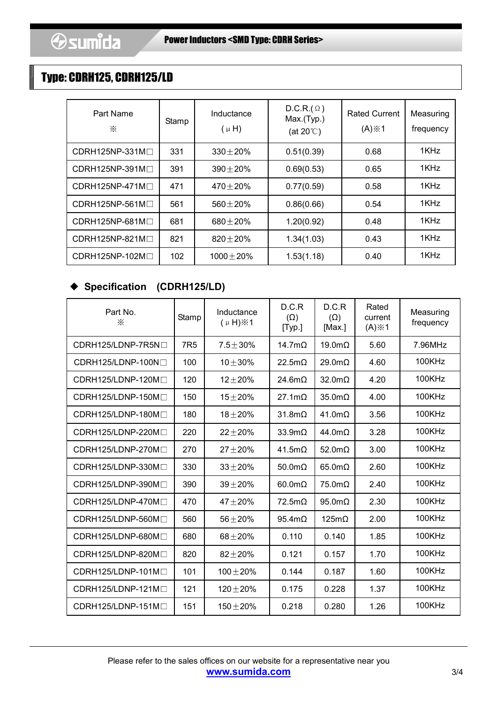| Part Name<br>⋇          | Stamp | Inductance<br>$(\mu H)$ | $D.C.R.(\Omega)$<br>Max.(Typ.)<br>(at $20^{\circ}$ C) | <b>Rated Current</b><br>$(A)$ $\times$ 1 | Measuring<br>frequency |
|-------------------------|-------|-------------------------|-------------------------------------------------------|------------------------------------------|------------------------|
| $CDRH125NP-331M\Box$    | 331   | $330 + 20%$             | 0.51(0.39)                                            | 0.68                                     | 1KHz                   |
| $CDRH125NP-391M\square$ | 391   | $390 + 20%$             | 0.69(0.53)                                            | 0.65                                     | 1KHz                   |
| $CDRH125NP-471M\square$ | 471   | $470 + 20%$             | 0.77(0.59)                                            | 0.58                                     | 1KHz                   |
| $CDRH125NP-561M\Box$    | 561   | $560 + 20%$             | 0.86(0.66)                                            | 0.54                                     | 1KHz                   |
| CDRH125NP-681MO         | 681   | $680 + 20%$             | 1.20(0.92)                                            | 0.48                                     | 1KHz                   |
| $CDRH125NP-821M\square$ | 821   | $820 + 20%$             | 1.34(1.03)                                            | 0.43                                     | 1KHz                   |
| $CDRH125NP-102M\square$ | 102   | $1000 \pm 20\%$         | 1.53(1.18)                                            | 0.40                                     | 1KHz                   |

### ◆ Specification (CDRH125/LD)

| Part No.<br>⋇              | Stamp           | Inductance<br>$(\mu H)\times 1$ | D.C.R<br>$(\Omega)$<br>[Typ.] | D.C.R<br>$(\Omega)$<br>[Max.] | Rated<br>current<br>$(A)$ $\times$ 1 | Measuring<br>frequency |
|----------------------------|-----------------|---------------------------------|-------------------------------|-------------------------------|--------------------------------------|------------------------|
| $CDRH125/LDNP-7R5N1$       | 7R <sub>5</sub> | $7.5 + 30\%$                    | 14.7m $\Omega$                | $19.0 \text{m}\Omega$         | 5.60                                 | 7.96MHz                |
| $CDRH125/LDNP-100N\square$ | 100             | $10 + 30%$                      | $22.5m\Omega$                 | $29.0 \text{m}\Omega$         | 4.60                                 | 100KHz                 |
| CDRH125/LDNP-120M□         | 120             | $12 + 20%$                      | $24.6m\Omega$                 | $32.0 \text{m}\Omega$         | 4.20                                 | 100KHz                 |
| $CDRH125/LDNP-150M\Box$    | 150             | $15 + 20%$                      | $27.1 \text{m}\Omega$         | $35.0 \text{m}\Omega$         | 4.00                                 | 100KHz                 |
| CDRH125/LDNP-180M□         | 180             | $18 + 20%$                      | $31.8 \text{m}\Omega$         | $41.0 \text{m}\Omega$         | 3.56                                 | 100KHz                 |
| CDRH125/LDNP-220M□         | 220             | $22 + 20%$                      | $33.9m\Omega$                 | $44.0 \text{m}\Omega$         | 3.28                                 | 100KHz                 |
| CDRH125/LDNP-270M□         | 270             | $27 + 20%$                      | $41.5m\Omega$                 | 52.0m $\Omega$                | 3.00                                 | <b>100KHz</b>          |
| CDRH125/LDNP-330M□         | 330             | $33 + 20%$                      | $50.0 \text{m}\Omega$         | $65.0 \text{m}\Omega$         | 2.60                                 | 100KHz                 |
| CDRH125/LDNP-390M          | 390             | $39 + 20%$                      | $60.0m\Omega$                 | $75.0m\Omega$                 | 2.40                                 | 100KHz                 |
| CDRH125/LDNP-470M          | 470             | $47 + 20%$                      | $72.5m\Omega$                 | $95.0 \text{m}\Omega$         | 2.30                                 | 100KHz                 |
| CDRH125/LDNP-560M          | 560             | $56 + 20%$                      | $95.4 \text{m}\Omega$         | $125m\Omega$                  | 2.00                                 | 100KHz                 |
| CDRH125/LDNP-680M          | 680             | $68 + 20%$                      | 0.110                         | 0.140                         | 1.85                                 | 100KHz                 |
| CDRH125/LDNP-820M          | 820             | $82 + 20%$                      | 0.121                         | 0.157                         | 1.70                                 | 100KHz                 |
| $CDRH125/LDNP-101M\square$ | 101             | $100 + 20%$                     | 0.144                         | 0.187                         | 1.60                                 | <b>100KHz</b>          |
| CDRH125/LDNP-121M          | 121             | $120 + 20%$                     | 0.175                         | 0.228                         | 1.37                                 | 100KHz                 |
| $CDRH125/LDNP-151M\square$ | 151             | $150 + 20%$                     | 0.218                         | 0.280                         | 1.26                                 | 100KHz                 |